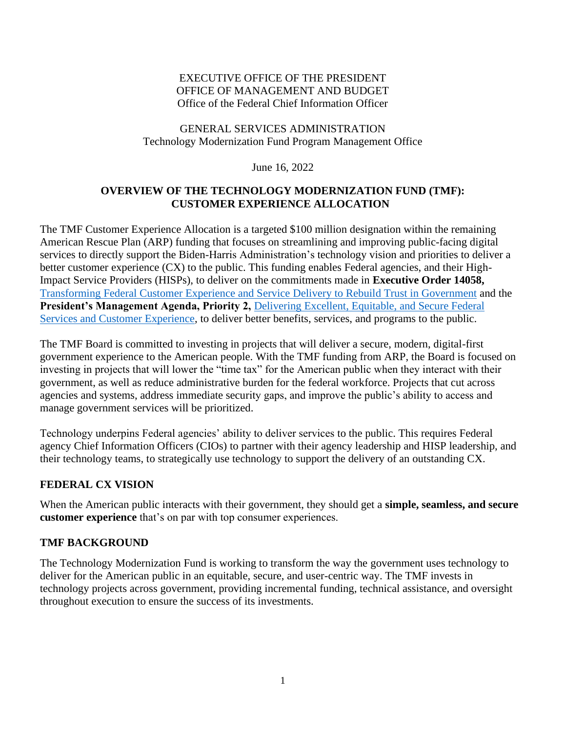#### EXECUTIVE OFFICE OF THE PRESIDENT OFFICE OF MANAGEMENT AND BUDGET Office of the Federal Chief Information Officer

### GENERAL SERVICES ADMINISTRATION Technology Modernization Fund Program Management Office

June 16, 2022

### **OVERVIEW OF THE TECHNOLOGY MODERNIZATION FUND (TMF): CUSTOMER EXPERIENCE ALLOCATION**

The TMF Customer Experience Allocation is a targeted \$100 million designation within the remaining American Rescue Plan (ARP) funding that focuses on streamlining and improving public-facing digital services to directly support the Biden-Harris Administration's technology vision and priorities to deliver a better customer experience (CX) to the public. This funding enables Federal agencies, and their High-Impact Service Providers (HISPs), to deliver on the commitments made in **Executive Order 14058,** [Transforming Federal Customer Experience and Service Delivery to Rebuild Trust in Government](https://www.whitehouse.gov/briefing-room/presidential-actions/2021/12/13/executive-order-on-transforming-federal-customer-experience-and-service-delivery-to-rebuild-trust-in-government/) and the **President's Management Agenda, Priority 2,** [Delivering Excellent, Equitable, and Secure Federal](https://www.performance.gov/pma/)  [Services and Customer Experience,](https://www.performance.gov/pma/) to deliver better benefits, services, and programs to the public.

The TMF Board is committed to investing in projects that will deliver a secure, modern, digital-first government experience to the American people. With the TMF funding from ARP, the Board is focused on investing in projects that will lower the "time tax" for the American public when they interact with their government, as well as reduce administrative burden for the federal workforce. Projects that cut across agencies and systems, address immediate security gaps, and improve the public's ability to access and manage government services will be prioritized.

Technology underpins Federal agencies' ability to deliver services to the public. This requires Federal agency Chief Information Officers (CIOs) to partner with their agency leadership and HISP leadership, and their technology teams, to strategically use technology to support the delivery of an outstanding CX.

### **FEDERAL CX VISION**

When the American public interacts with their government, they should get a **simple, seamless, and secure customer experience** that's on par with top consumer experiences.

### **TMF BACKGROUND**

The Technology Modernization Fund is working to transform the way the government uses technology to deliver for the American public in an equitable, secure, and user-centric way. The TMF invests in technology projects across government, providing incremental funding, technical assistance, and oversight throughout execution to ensure the success of its investments.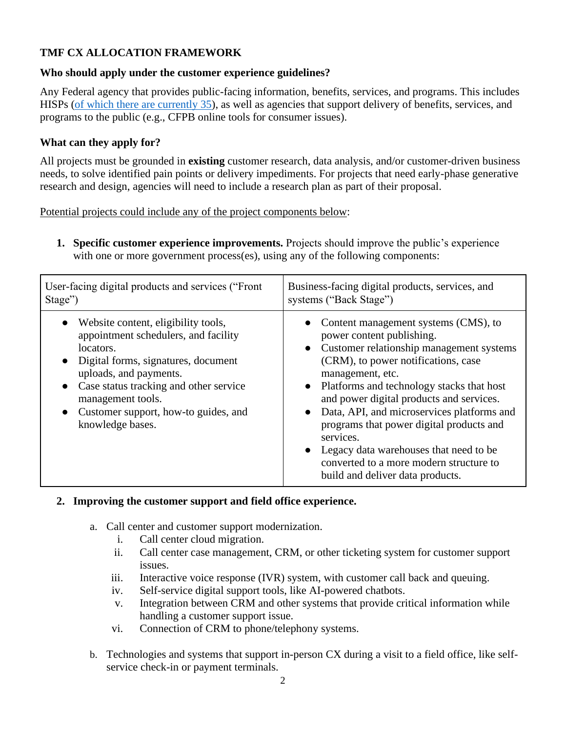# **TMF CX ALLOCATION FRAMEWORK**

### **Who should apply under the customer experience guidelines?**

Any Federal agency that provides public-facing information, benefits, services, and programs. This includes HISPs [\(of which there are currently 35\)](https://www.performance.gov/cx/assets/files/HISP-listing-2021.pdf), as well as agencies that support delivery of benefits, services, and programs to the public (e.g., CFPB online tools for consumer issues).

### **What can they apply for?**

All projects must be grounded in **existing** customer research, data analysis, and/or customer-driven business needs, to solve identified pain points or delivery impediments. For projects that need early-phase generative research and design, agencies will need to include a research plan as part of their proposal.

Potential projects could include any of the project components below:

**1. Specific customer experience improvements.** Projects should improve the public's experience with one or more government process(es), using any of the following components:

| User-facing digital products and services ("Front                                                                                                                                                                                                                                                                  | Business-facing digital products, services, and                                                                                                                                                                                                                                                                                                                                                                                                                                                         |
|--------------------------------------------------------------------------------------------------------------------------------------------------------------------------------------------------------------------------------------------------------------------------------------------------------------------|---------------------------------------------------------------------------------------------------------------------------------------------------------------------------------------------------------------------------------------------------------------------------------------------------------------------------------------------------------------------------------------------------------------------------------------------------------------------------------------------------------|
| Stage")                                                                                                                                                                                                                                                                                                            | systems ("Back Stage")                                                                                                                                                                                                                                                                                                                                                                                                                                                                                  |
| • Website content, eligibility tools,<br>appointment schedulers, and facility<br>locators.<br>• Digital forms, signatures, document<br>uploads, and payments.<br>Case status tracking and other service<br>$\bullet$<br>management tools.<br>Customer support, how-to guides, and<br>$\bullet$<br>knowledge bases. | Content management systems (CMS), to<br>power content publishing.<br>• Customer relationship management systems<br>(CRM), to power notifications, case<br>management, etc.<br>• Platforms and technology stacks that host<br>and power digital products and services.<br>• Data, API, and microservices platforms and<br>programs that power digital products and<br>services.<br>Legacy data warehouses that need to be<br>converted to a more modern structure to<br>build and deliver data products. |

### **2. Improving the customer support and field office experience.**

- a. Call center and customer support modernization.
	- i. Call center cloud migration.
	- ii. Call center case management, CRM, or other ticketing system for customer support issues.
	- iii. Interactive voice response (IVR) system, with customer call back and queuing.
	- iv. Self-service digital support tools, like AI-powered chatbots.
	- v. Integration between CRM and other systems that provide critical information while handling a customer support issue.
	- vi. Connection of CRM to phone/telephony systems.
- b. Technologies and systems that support in-person CX during a visit to a field office, like selfservice check-in or payment terminals.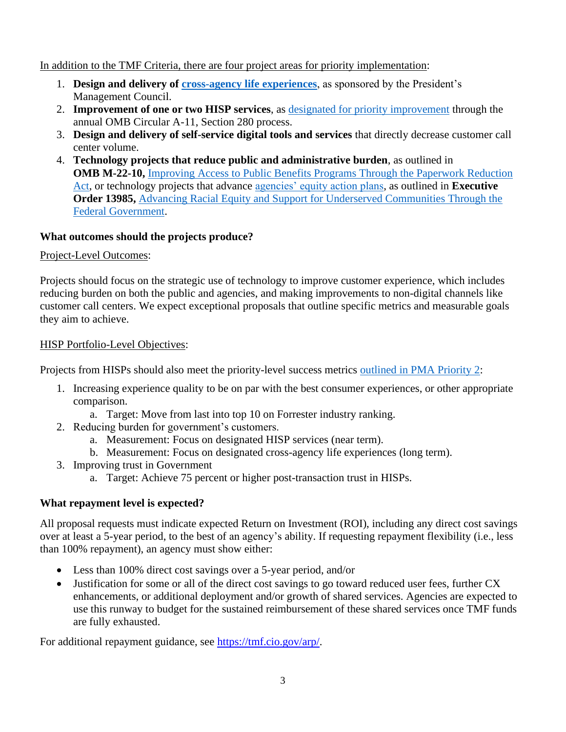### In addition to the [TMF Criteria,](https://tmf.cio.gov/criteria/) there are four project areas for priority implementation:

- 1. **Design and delivery of [cross-agency life experiences](https://www.performance.gov/cx/projects/)**, as sponsored by the President's Management Council.
- 2. **Improvement of one or two HISP services**, as [designated for priority improvement](https://www.performance.gov/cx/) through the annual OMB Circular A-11, Section 280 process.
- 3. **Design and delivery of self-service digital tools and services** that directly decrease customer call center volume.
- 4. **Technology projects that reduce public and administrative burden**, as outlined in **OMB M-22-10,** [Improving Access to Public Benefits Programs Through the Paperwork Reduction](https://www.whitehouse.gov/wp-content/uploads/2022/04/M-22-10.pdf)  [Act,](https://www.whitehouse.gov/wp-content/uploads/2022/04/M-22-10.pdf) or technology projects that advance [agencies' equity action plans,](https://www.performance.gov/equity/#action-plans) as outlined in **Executive Order 13985,** [Advancing Racial Equity and Support for Underserved Communities Through the](https://www.whitehouse.gov/briefing-room/presidential-actions/2021/01/20/executive-order-advancing-racial-equity-and-support-for-underserved-communities-through-the-federal-government/)  [Federal Government.](https://www.whitehouse.gov/briefing-room/presidential-actions/2021/01/20/executive-order-advancing-racial-equity-and-support-for-underserved-communities-through-the-federal-government/)

## **What outcomes should the projects produce?**

## Project-Level Outcomes:

Projects should focus on the strategic use of technology to improve customer experience, which includes reducing burden on both the public and agencies, and making improvements to non-digital channels like customer call centers. We expect exceptional proposals that outline specific metrics and measurable goals they aim to achieve.

## HISP Portfolio-Level Objectives:

Projects from HISPs should also meet the priority-level success metrics [outlined in PMA Priority 2:](https://www.performance.gov/pma/cx/)

- 1. Increasing experience quality to be on par with the best consumer experiences, or other appropriate comparison.
	- a. Target: Move from last into top 10 on Forrester industry ranking.
- 2. Reducing burden for government's customers.
	- a. Measurement: Focus on designated HISP services (near term).
	- b. Measurement: Focus on designated cross-agency life experiences (long term).
- 3. Improving trust in Government
	- a. Target: Achieve 75 percent or higher post-transaction trust in HISPs.

# **What repayment level is expected?**

All proposal requests must indicate expected Return on Investment (ROI), including any direct cost savings over at least a 5-year period, to the best of an agency's ability. If requesting repayment flexibility (i.e., less than 100% repayment), an agency must show either:

- Less than 100% direct cost savings over a 5-year period, and/or
- Justification for some or all of the direct cost savings to go toward reduced user fees, further CX enhancements, or additional deployment and/or growth of shared services. Agencies are expected to use this runway to budget for the sustained reimbursement of these shared services once TMF funds are fully exhausted.

For additional repayment guidance, see [https://tmf.cio.gov/arp/.](https://tmf.cio.gov/arp/)